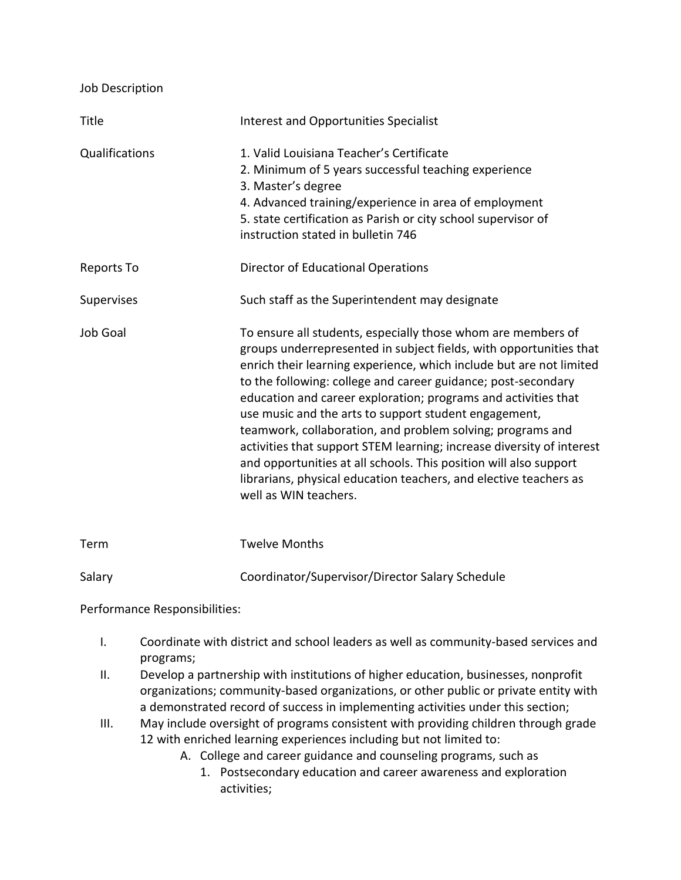| Job Description   |                                                                                                                                                                                                                                                                                                                                                                                                                                                                                                                                                                                                                                                                                                                 |
|-------------------|-----------------------------------------------------------------------------------------------------------------------------------------------------------------------------------------------------------------------------------------------------------------------------------------------------------------------------------------------------------------------------------------------------------------------------------------------------------------------------------------------------------------------------------------------------------------------------------------------------------------------------------------------------------------------------------------------------------------|
| Title             | Interest and Opportunities Specialist                                                                                                                                                                                                                                                                                                                                                                                                                                                                                                                                                                                                                                                                           |
| Qualifications    | 1. Valid Louisiana Teacher's Certificate<br>2. Minimum of 5 years successful teaching experience<br>3. Master's degree<br>4. Advanced training/experience in area of employment<br>5. state certification as Parish or city school supervisor of<br>instruction stated in bulletin 746                                                                                                                                                                                                                                                                                                                                                                                                                          |
| <b>Reports To</b> | <b>Director of Educational Operations</b>                                                                                                                                                                                                                                                                                                                                                                                                                                                                                                                                                                                                                                                                       |
| Supervises        | Such staff as the Superintendent may designate                                                                                                                                                                                                                                                                                                                                                                                                                                                                                                                                                                                                                                                                  |
| <b>Job Goal</b>   | To ensure all students, especially those whom are members of<br>groups underrepresented in subject fields, with opportunities that<br>enrich their learning experience, which include but are not limited<br>to the following: college and career guidance; post-secondary<br>education and career exploration; programs and activities that<br>use music and the arts to support student engagement,<br>teamwork, collaboration, and problem solving; programs and<br>activities that support STEM learning; increase diversity of interest<br>and opportunities at all schools. This position will also support<br>librarians, physical education teachers, and elective teachers as<br>well as WIN teachers. |

Term Twelve Months Salary Coordinator/Supervisor/Director Salary Schedule

Performance Responsibilities:

- I. Coordinate with district and school leaders as well as community-based services and programs;
- II. Develop a partnership with institutions of higher education, businesses, nonprofit organizations; community-based organizations, or other public or private entity with a demonstrated record of success in implementing activities under this section;
- III. May include oversight of programs consistent with providing children through grade 12 with enriched learning experiences including but not limited to:
	- A. College and career guidance and counseling programs, such as
		- 1. Postsecondary education and career awareness and exploration activities;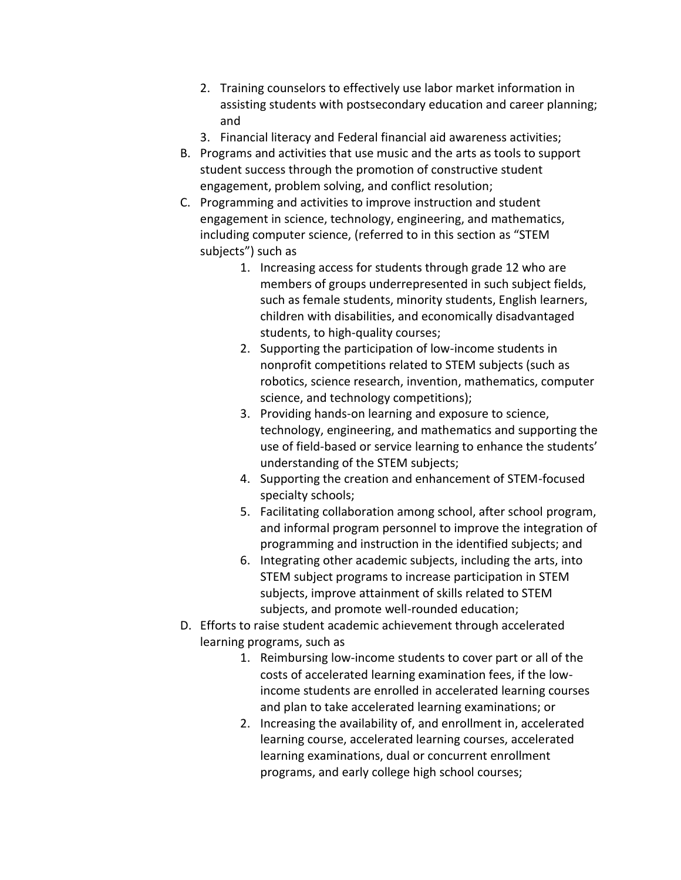- 2. Training counselors to effectively use labor market information in assisting students with postsecondary education and career planning; and
- 3. Financial literacy and Federal financial aid awareness activities;
- B. Programs and activities that use music and the arts as tools to support student success through the promotion of constructive student engagement, problem solving, and conflict resolution;
- C. Programming and activities to improve instruction and student engagement in science, technology, engineering, and mathematics, including computer science, (referred to in this section as "STEM subjects") such as
	- 1. Increasing access for students through grade 12 who are members of groups underrepresented in such subject fields, such as female students, minority students, English learners, children with disabilities, and economically disadvantaged students, to high-quality courses;
	- 2. Supporting the participation of low-income students in nonprofit competitions related to STEM subjects (such as robotics, science research, invention, mathematics, computer science, and technology competitions);
	- 3. Providing hands-on learning and exposure to science, technology, engineering, and mathematics and supporting the use of field-based or service learning to enhance the students' understanding of the STEM subjects;
	- 4. Supporting the creation and enhancement of STEM-focused specialty schools;
	- 5. Facilitating collaboration among school, after school program, and informal program personnel to improve the integration of programming and instruction in the identified subjects; and
	- 6. Integrating other academic subjects, including the arts, into STEM subject programs to increase participation in STEM subjects, improve attainment of skills related to STEM subjects, and promote well-rounded education;
- D. Efforts to raise student academic achievement through accelerated learning programs, such as
	- 1. Reimbursing low-income students to cover part or all of the costs of accelerated learning examination fees, if the lowincome students are enrolled in accelerated learning courses and plan to take accelerated learning examinations; or
	- 2. Increasing the availability of, and enrollment in, accelerated learning course, accelerated learning courses, accelerated learning examinations, dual or concurrent enrollment programs, and early college high school courses;